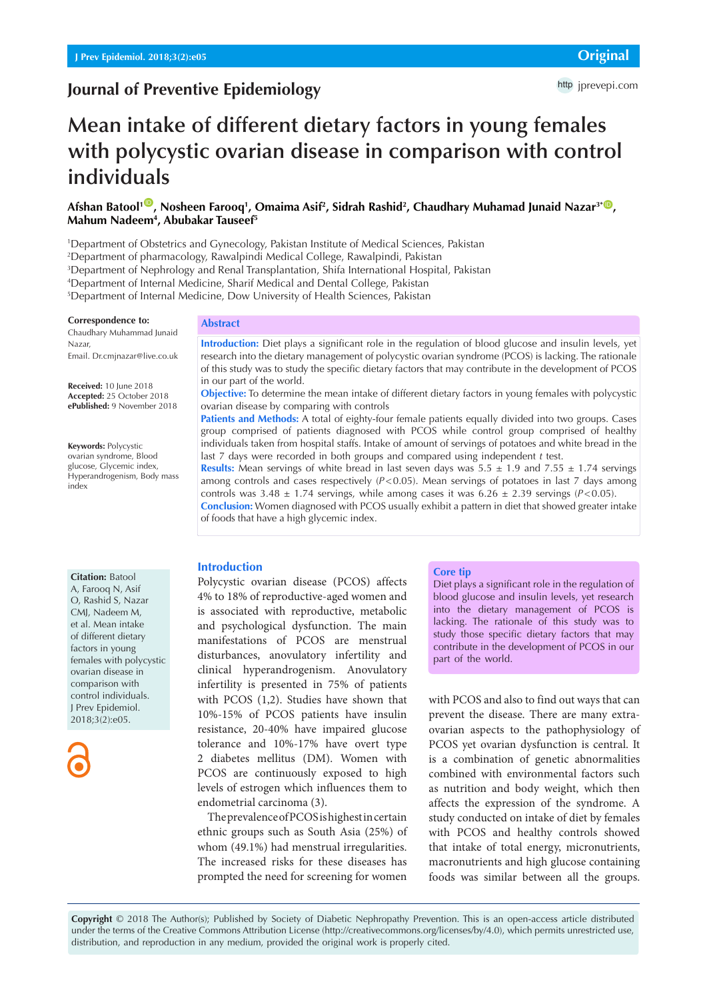# **Journal of Preventive Epidemiology**

# **Mean intake of different dietary factors in young females with polycystic ovarian disease in comparison with control individuals**

## $A$ fshan Batool<sup>1 ©</sup>, Nosheen Farooq<sup>1</sup>, Omaima Asif<sup>2</sup>, Sidrah Rashid<sup>2</sup>, Chaudhary Muhamad Junaid Nazar<sup>3\* ©</sup>, **Mahum Nadeem4 , Abubakar Tauseef5**

1 Department of Obstetrics and Gynecology, Pakistan Institute of Medical Sciences, Pakistan

2 Department of pharmacology, Rawalpindi Medical College, Rawalpindi, Pakistan

3 Department of Nephrology and Renal Transplantation, Shifa International Hospital, Pakistan

4 Department of Internal Medicine, Sharif Medical and Dental College, Pakistan

5 Department of Internal Medicine, Dow University of Health Sciences, Pakistan

#### **Correspondence to:**

Chaudhary Muhammad Junaid Nazar, Email. Dr.cmjnazar@live.co.uk

**Received:** 10 June 2018 **Accepted:** 25 October 2018 **ePublished:** 9 November 2018

**Keywords:** Polycystic ovarian syndrome, Blood glucose, Glycemic index, Hyperandrogenism, Body mass index

#### **Abstract**

**Introduction:** Diet plays a significant role in the regulation of blood glucose and insulin levels, yet research into the dietary management of polycystic ovarian syndrome (PCOS) is lacking. The rationale of this study was to study the specific dietary factors that may contribute in the development of PCOS in our part of the world.

**Objective:** To determine the mean intake of different dietary factors in young females with polycystic ovarian disease by comparing with controls

**Patients and Methods:** A total of eighty-four female patients equally divided into two groups. Cases group comprised of patients diagnosed with PCOS while control group comprised of healthy individuals taken from hospital staffs. Intake of amount of servings of potatoes and white bread in the last 7 days were recorded in both groups and compared using independent *t* test.

**Results:** Mean servings of white bread in last seven days was  $5.5 \pm 1.9$  and  $7.55 \pm 1.74$  servings among controls and cases respectively  $(P<0.05)$ . Mean servings of potatoes in last 7 days among controls was  $3.48 \pm 1.74$  servings, while among cases it was  $6.26 \pm 2.39$  servings (*P*<0.05). **Conclusion:** Women diagnosed with PCOS usually exhibit a pattern in diet that showed greater intake of foods that have a high glycemic index.

#### **Citation:** Batool

A, Farooq N, Asif O, Rashid S, Nazar CMJ, Nadeem M, et al. Mean intake of different dietary factors in young females with polycystic ovarian disease in comparison with control individuals. J Prev Epidemiol. 2018;3(2):e05.



#### **Introduction**

Polycystic ovarian disease (PCOS) affects 4% to 18% of reproductive-aged women and is associated with reproductive, metabolic and psychological dysfunction. The main manifestations of PCOS are menstrual disturbances, anovulatory infertility and clinical hyperandrogenism. Anovulatory infertility is presented in 75% of patients with PCOS (1,2). Studies have shown that 10%-15% of PCOS patients have insulin resistance, 20-40% have impaired glucose tolerance and 10%-17% have overt type 2 diabetes mellitus (DM). Women with PCOS are continuously exposed to high levels of estrogen which influences them to endometrial carcinoma (3).

The prevalence of PCOS is highest in certain ethnic groups such as South Asia (25%) of whom (49.1%) had menstrual irregularities. The increased risks for these diseases has prompted the need for screening for women

#### **Core tip**

Diet plays a significant role in the regulation of blood glucose and insulin levels, yet research into the dietary management of PCOS is lacking. The rationale of this study was to study those specific dietary factors that may contribute in the development of PCOS in our part of the world.

with PCOS and also to find out ways that can prevent the disease. There are many extraovarian aspects to the pathophysiology of PCOS yet ovarian dysfunction is central. It is a combination of genetic abnormalities combined with environmental factors such as nutrition and body weight, which then affects the expression of the syndrome. A study conducted on intake of diet by females with PCOS and healthy controls showed that intake of total energy, micronutrients, macronutrients and high glucose containing foods was similar between all the groups.

**Copyright** © 2018 The Author(s); Published by Society of Diabetic Nephropathy Prevention. This is an open-access article distributed under the terms of the Creative Commons Attribution License (http://creativecommons.org/licenses/by/4.0), which permits unrestricted use, distribution, and reproduction in any medium, provided the original work is properly cited.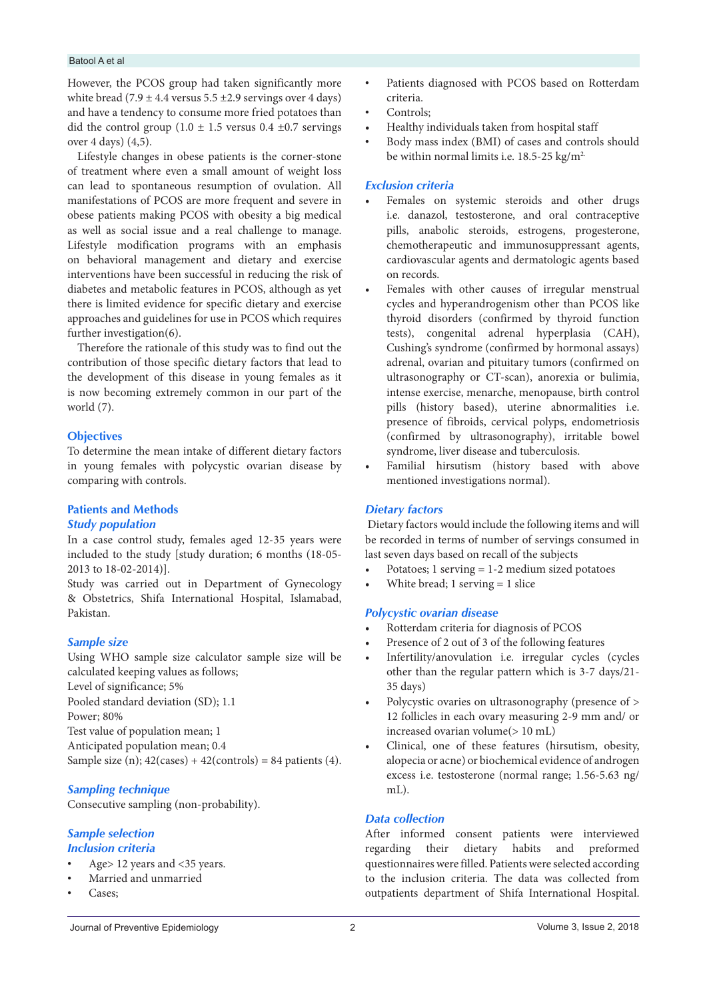#### Batool A et al

However, the PCOS group had taken significantly more white bread (7.9  $\pm$  4.4 versus 5.5  $\pm$ 2.9 servings over 4 days) and have a tendency to consume more fried potatoes than did the control group  $(1.0 \pm 1.5 \text{ versus } 0.4 \pm 0.7 \text{ serving})$ over 4 days) (4,5).

Lifestyle changes in obese patients is the corner-stone of treatment where even a small amount of weight loss can lead to spontaneous resumption of ovulation. All manifestations of PCOS are more frequent and severe in obese patients making PCOS with obesity a big medical as well as social issue and a real challenge to manage. Lifestyle modification programs with an emphasis on behavioral management and dietary and exercise interventions have been successful in reducing the risk of diabetes and metabolic features in PCOS, although as yet there is limited evidence for specific dietary and exercise approaches and guidelines for use in PCOS which requires further investigation(6).

Therefore the rationale of this study was to find out the contribution of those specific dietary factors that lead to the development of this disease in young females as it is now becoming extremely common in our part of the world (7).

#### **Objectives**

To determine the mean intake of different dietary factors in young females with polycystic ovarian disease by comparing with controls.

## **Patients and Methods**  *Study population*

In a case control study, females aged 12-35 years were included to the study [study duration; 6 months (18-05-

2013 to 18-02-2014)]. Study was carried out in Department of Gynecology & Obstetrics, Shifa International Hospital, Islamabad, Pakistan.

## *Sample size*

Using WHO sample size calculator sample size will be calculated keeping values as follows; Level of significance; 5%

Pooled standard deviation (SD); 1.1

Power; 80%

Test value of population mean; 1

Anticipated population mean; 0.4

Sample size (n);  $42$ (cases) +  $42$ (controls) = 84 patients (4).

## *Sampling technique*

Consecutive sampling (non-probability).

## *Sample selection Inclusion criteria*

- Age> 12 years and <35 years.
- Married and unmarried
- Cases;
- Patients diagnosed with PCOS based on Rotterdam criteria.
- Controls;
- Healthy individuals taken from hospital staff
- Body mass index (BMI) of cases and controls should be within normal limits i.e.  $18.5-25$  kg/m<sup>2.</sup>

## *Exclusion criteria*

- Females on systemic steroids and other drugs i.e. danazol, testosterone, and oral contraceptive pills, anabolic steroids, estrogens, progesterone, chemotherapeutic and immunosuppressant agents, cardiovascular agents and dermatologic agents based on records.
- Females with other causes of irregular menstrual cycles and hyperandrogenism other than PCOS like thyroid disorders (confirmed by thyroid function tests), congenital adrenal hyperplasia (CAH), Cushing's syndrome (confirmed by hormonal assays) adrenal, ovarian and pituitary tumors (confirmed on ultrasonography or CT-scan), anorexia or bulimia, intense exercise, menarche, menopause, birth control pills (history based), uterine abnormalities i.e. presence of fibroids, cervical polyps, endometriosis (confirmed by ultrasonography), irritable bowel syndrome, liver disease and tuberculosis.
- Familial hirsutism (history based with above mentioned investigations normal).

## *Dietary factors*

 Dietary factors would include the following items and will be recorded in terms of number of servings consumed in last seven days based on recall of the subjects

- Potatoes;  $1$  serving  $= 1-2$  medium sized potatoes
- White bread;  $1$  serving  $= 1$  slice

#### *Polycystic ovarian disease*

- Rotterdam criteria for diagnosis of PCOS
- Presence of 2 out of 3 of the following features
- Infertility/anovulation i.e. irregular cycles (cycles other than the regular pattern which is 3-7 days/21- 35 days)
- Polycystic ovaries on ultrasonography (presence of > 12 follicles in each ovary measuring 2-9 mm and/ or increased ovarian volume(> 10 mL)
- Clinical, one of these features (hirsutism, obesity, alopecia or acne) or biochemical evidence of androgen excess i.e. testosterone (normal range; 1.56-5.63 ng/ mL).

## *Data collection*

After informed consent patients were interviewed regarding their dietary habits and preformed questionnaires were filled. Patients were selected according to the inclusion criteria. The data was collected from outpatients department of Shifa International Hospital.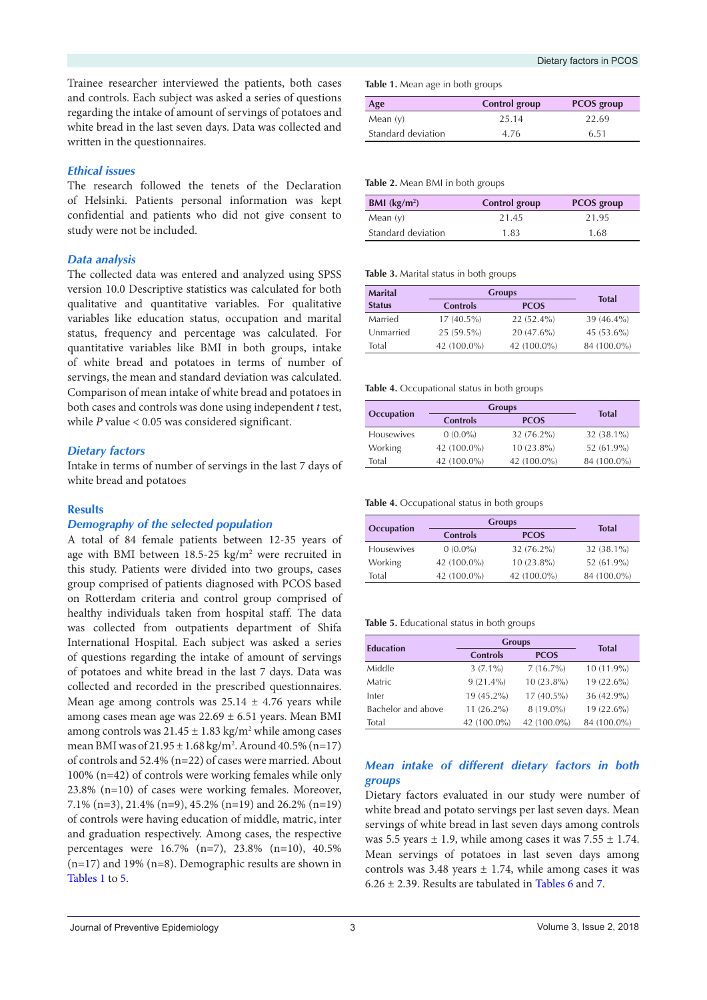Trainee researcher interviewed the patients, both cases and controls. Each subject was asked a series of questions regarding the intake of amount of servings of potatoes and white bread in the last seven days. Data was collected and written in the questionnaires.

## *Ethical issues*

The research followed the tenets of the Declaration of Helsinki. Patients personal information was kept confidential and patients who did not give consent to study were not be included.

## *Data analysis*

The collected data was entered and analyzed using SPSS version 10.0 Descriptive statistics was calculated for both qualitative and quantitative variables. For qualitative variables like education status, occupation and marital status, frequency and percentage was calculated. For quantitative variables like BMI in both groups, intake of white bread and potatoes in terms of number of servings, the mean and standard deviation was calculated. Comparison of mean intake of white bread and potatoes in both cases and controls was done using independent *t* test, while *P* value < 0.05 was considered significant.

## *Dietary factors*

Intake in terms of number of servings in the last 7 days of white bread and potatoes

## **Results**

## *Demography of the selected population*

A total of 84 female patients between 12-35 years of age with BMI between 18.5-25 kg/m2 were recruited in this study. Patients were divided into two groups, cases group comprised of patients diagnosed with PCOS based on Rotterdam criteria and control group comprised of healthy individuals taken from hospital staff. The data was collected from outpatients department of Shifa International Hospital. Each subject was asked a series of questions regarding the intake of amount of servings of potatoes and white bread in the last 7 days. Data was collected and recorded in the prescribed questionnaires. Mean age among controls was  $25.14 \pm 4.76$  years while among cases mean age was 22.69 ± 6.51 years. Mean BMI among controls was  $21.45 \pm 1.83$  kg/m<sup>2</sup> while among cases mean BMI was of 21.95 ± 1.68 kg/m2 . Around 40.5% (n=17) of controls and 52.4% (n=22) of cases were married. About 100% (n=42) of controls were working females while only 23.8% (n=10) of cases were working females. Moreover, 7.1% (n=3), 21.4% (n=9), 45.2% (n=19) and 26.2% (n=19) of controls were having education of middle, matric, inter and graduation respectively. Among cases, the respective percentages were 16.7% (n=7), 23.8% (n=10), 40.5% (n=17) and 19% (n=8). Demographic results are shown in [Tables 1](#page-2-0) to [5](#page-2-1).

<span id="page-2-0"></span>**Table 1.** Mean age in both groups

| Age                | Control group | <b>PCOS</b> group |
|--------------------|---------------|-------------------|
| Mean $(y)$         | 25.14         | 22.69             |
| Standard deviation | 4.76          | 6.51              |

#### **Table 2.** Mean BMI in both groups

| BMI $(kg/m2)$      | Control group | <b>PCOS</b> group |
|--------------------|---------------|-------------------|
| Mean $(y)$         | 21.45         | 21.95             |
| Standard deviation | 1.83          | 1.68              |

#### **Table 3.** Marital status in both groups

| <b>Marital</b> | <b>Groups</b>   | <b>Total</b> |               |
|----------------|-----------------|--------------|---------------|
| <b>Status</b>  | <b>Controls</b> | <b>PCOS</b>  |               |
| Married        | $17(40.5\%)$    | $22(52.4\%)$ | $39(46.4\%)$  |
| Unmarried      | $25(59.5\%)$    | $20(47.6\%)$ | 45 $(53.6\%)$ |
| Total          | 42 (100.0%)     | 42 (100.0%)  | 84 (100.0%)   |

#### **Table 4.** Occupational status in both groups

|                   | <b>Groups</b>   | <b>Total</b> |              |
|-------------------|-----------------|--------------|--------------|
| Occupation        | <b>Controls</b> | <b>PCOS</b>  |              |
| <b>Housewives</b> | $0(0.0\%)$      | $32(76.2\%)$ | 32 (38.1%)   |
| Working           | 42 (100.0%)     | $10(23.8\%)$ | $52(61.9\%)$ |
| Total             | 42 (100.0%)     | 42 (100.0%)  | 84 (100.0%)  |

#### **Table 4.** Occupational status in both groups

| Occupation        | <b>Groups</b>   | <b>Total</b> |              |  |
|-------------------|-----------------|--------------|--------------|--|
|                   | <b>Controls</b> | <b>PCOS</b>  |              |  |
| <b>Housewives</b> | $0(0.0\%)$      | $32(76.2\%)$ | $32(38.1\%)$ |  |
| Working           | 42 (100.0%)     | $10(23.8\%)$ | $52(61.9\%)$ |  |
| Total             | 42 (100.0%)     | 42 (100.0%)  | 84 (100.0%)  |  |

#### <span id="page-2-1"></span>**Table 5.** Educational status in both groups

|                    | <b>Groups</b>   |              |              |  |
|--------------------|-----------------|--------------|--------------|--|
| <b>Education</b>   | <b>Controls</b> | <b>PCOS</b>  | <b>Total</b> |  |
| Middle             | $3(7.1\%)$      | $7(16.7\%)$  | $10(11.9\%)$ |  |
| Matric             | $9(21.4\%)$     | $10(23.8\%)$ | 19 (22.6%)   |  |
| Inter              | 19 (45.2%)      | $17(40.5\%)$ | 36 (42.9%)   |  |
| Bachelor and above | $11(26.2\%)$    | $8(19.0\%)$  | $19(22.6\%)$ |  |
| Total              | 42 (100.0%)     | 42 (100.0%)  | 84 (100.0%)  |  |

## *Mean intake of different dietary factors in both groups*

Dietary factors evaluated in our study were number of white bread and potato servings per last seven days. Mean servings of white bread in last seven days among controls was 5.5 years  $\pm$  1.9, while among cases it was 7.55  $\pm$  1.74. Mean servings of potatoes in last seven days among controls was 3.48 years  $\pm$  1.74, while among cases it was  $6.26 \pm 2.39$ . Results are tabulated in [Tables 6](#page-3-0) and [7](#page-3-1).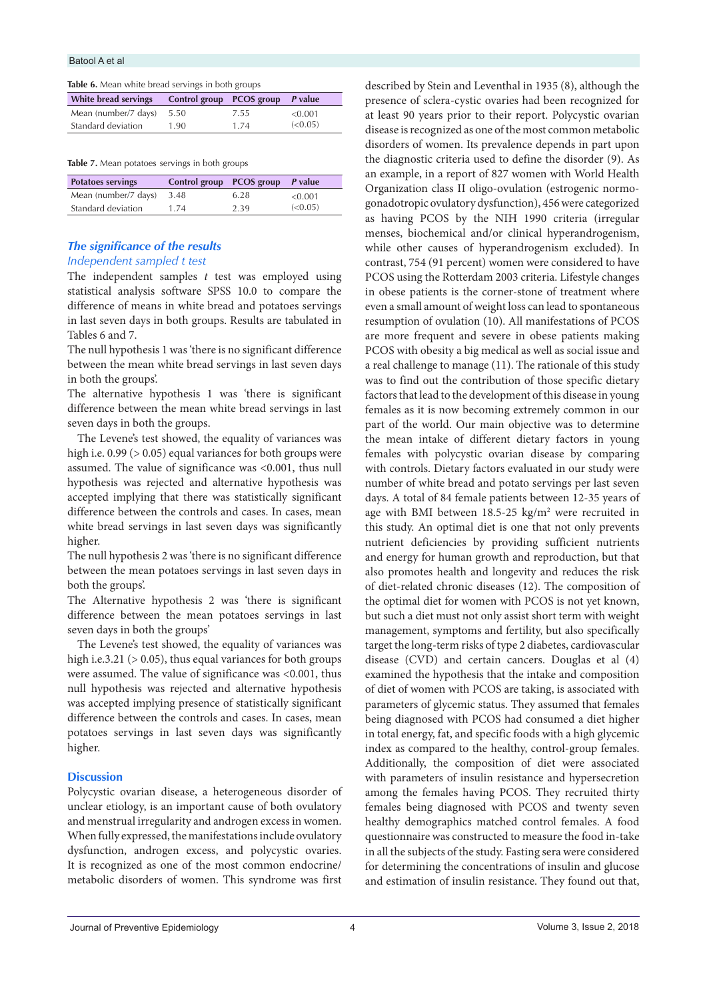<span id="page-3-0"></span>

|  | Table 6. Mean white bread servings in both groups |
|--|---------------------------------------------------|
|--|---------------------------------------------------|

| White bread servings | Control group PCOS group P value |      |          |
|----------------------|----------------------------------|------|----------|
| Mean (number/7 days) | 5.50                             | 7.55 | < 0.001  |
| Standard deviation   | 1.90                             | 1 74 | (< 0.05) |

<span id="page-3-1"></span>**Table 7.** Mean potatoes servings in both groups

| <b>Potatoes servings</b> | Control group PCOS group P value |      |         |
|--------------------------|----------------------------------|------|---------|
| Mean (number/7 days)     | 3.48                             | 6.28 | < 0.001 |
| Standard deviation       | 174                              | 2.39 | (<0.05) |

## *The significance of the results*

### *Independent sampled t test*

The independent samples *t* test was employed using statistical analysis software SPSS 10.0 to compare the difference of means in white bread and potatoes servings in last seven days in both groups. Results are tabulated in Tables 6 and 7.

The null hypothesis 1 was 'there is no significant difference between the mean white bread servings in last seven days in both the groups'.

The alternative hypothesis 1 was 'there is significant difference between the mean white bread servings in last seven days in both the groups.

The Levene's test showed, the equality of variances was high i.e. 0.99 ( $> 0.05$ ) equal variances for both groups were assumed. The value of significance was <0.001, thus null hypothesis was rejected and alternative hypothesis was accepted implying that there was statistically significant difference between the controls and cases. In cases, mean white bread servings in last seven days was significantly higher.

The null hypothesis 2 was 'there is no significant difference between the mean potatoes servings in last seven days in both the groups'.

The Alternative hypothesis 2 was 'there is significant difference between the mean potatoes servings in last seven days in both the groups'

The Levene's test showed, the equality of variances was high i.e.3.21 ( $> 0.05$ ), thus equal variances for both groups were assumed. The value of significance was <0.001, thus null hypothesis was rejected and alternative hypothesis was accepted implying presence of statistically significant difference between the controls and cases. In cases, mean potatoes servings in last seven days was significantly higher.

## **Discussion**

Polycystic ovarian disease, a heterogeneous disorder of unclear etiology, is an important cause of both ovulatory and menstrual irregularity and androgen excess in women. When fully expressed, the manifestations include ovulatory dysfunction, androgen excess, and polycystic ovaries. It is recognized as one of the most common endocrine/ metabolic disorders of women. This syndrome was first

described by Stein and Leventhal in 1935 (8), although the presence of sclera-cystic ovaries had been recognized for at least 90 years prior to their report. Polycystic ovarian disease is recognized as one of the most common metabolic disorders of women. Its prevalence depends in part upon the diagnostic criteria used to define the disorder (9). As an example, in a report of 827 women with World Health Organization class II oligo-ovulation (estrogenic normogonadotropic ovulatory dysfunction), 456 were categorized as having PCOS by the NIH 1990 criteria (irregular menses, biochemical and/or clinical hyperandrogenism, while other causes of hyperandrogenism excluded). In contrast, 754 (91 percent) women were considered to have PCOS using the Rotterdam 2003 criteria. Lifestyle changes in obese patients is the corner-stone of treatment where even a small amount of weight loss can lead to spontaneous resumption of ovulation (10). All manifestations of PCOS are more frequent and severe in obese patients making PCOS with obesity a big medical as well as social issue and a real challenge to manage (11). The rationale of this study was to find out the contribution of those specific dietary factors that lead to the development of this disease in young females as it is now becoming extremely common in our part of the world. Our main objective was to determine the mean intake of different dietary factors in young females with polycystic ovarian disease by comparing with controls. Dietary factors evaluated in our study were number of white bread and potato servings per last seven days. A total of 84 female patients between 12-35 years of age with BMI between  $18.5$ -25 kg/m<sup>2</sup> were recruited in this study. An optimal diet is one that not only prevents nutrient deficiencies by providing sufficient nutrients and energy for human growth and reproduction, but that also promotes health and longevity and reduces the risk of diet-related chronic diseases (12). The composition of the optimal diet for women with PCOS is not yet known, but such a diet must not only assist short term with weight management, symptoms and fertility, but also specifically target the long-term risks of type 2 diabetes, cardiovascular disease (CVD) and certain cancers. Douglas et al (4) examined the hypothesis that the intake and composition of diet of women with PCOS are taking, is associated with parameters of glycemic status. They assumed that females being diagnosed with PCOS had consumed a diet higher in total energy, fat, and specific foods with a high glycemic index as compared to the healthy, control-group females. Additionally, the composition of diet were associated with parameters of insulin resistance and hypersecretion among the females having PCOS. They recruited thirty females being diagnosed with PCOS and twenty seven healthy demographics matched control females. A food questionnaire was constructed to measure the food in-take in all the subjects of the study. Fasting sera were considered for determining the concentrations of insulin and glucose and estimation of insulin resistance. They found out that,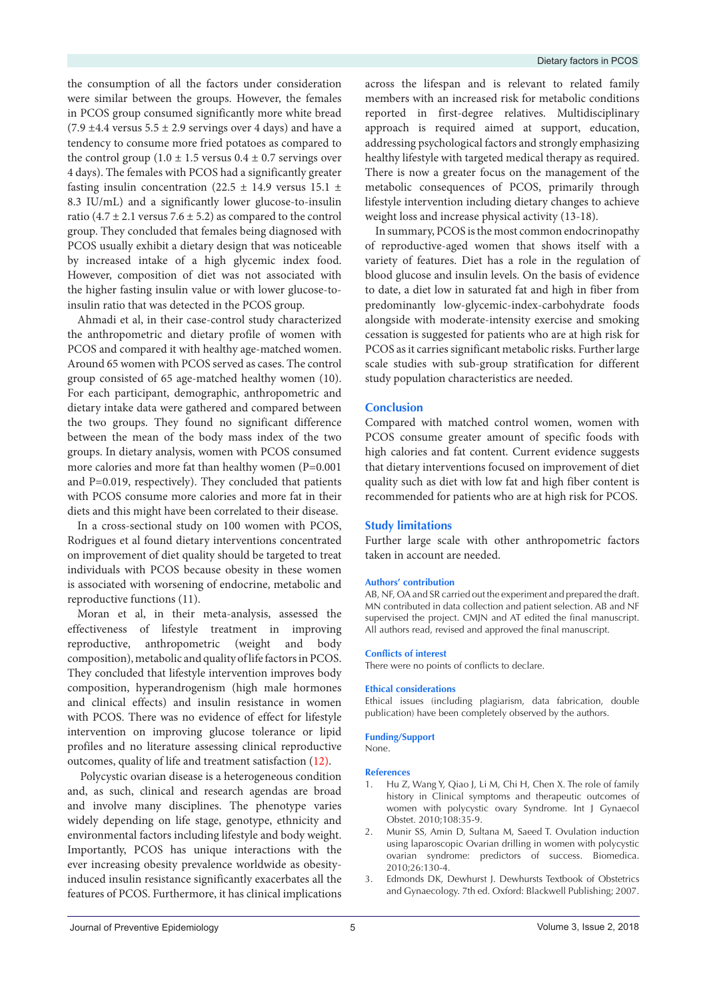the consumption of all the factors under consideration were similar between the groups. However, the females in PCOS group consumed significantly more white bread  $(7.9 \pm 4.4 \text{ versus } 5.5 \pm 2.9 \text{ servings over } 4 \text{ days})$  and have a tendency to consume more fried potatoes as compared to the control group  $(1.0 \pm 1.5 \text{ versus } 0.4 \pm 0.7 \text{ servings over }$ 4 days). The females with PCOS had a significantly greater fasting insulin concentration (22.5  $\pm$  14.9 versus 15.1  $\pm$ 8.3 IU/mL) and a significantly lower glucose-to-insulin ratio (4.7  $\pm$  2.1 versus 7.6  $\pm$  5.2) as compared to the control group. They concluded that females being diagnosed with PCOS usually exhibit a dietary design that was noticeable by increased intake of a high glycemic index food. However, composition of diet was not associated with the higher fasting insulin value or with lower glucose-toinsulin ratio that was detected in the PCOS group.

Ahmadi et al, in their case-control study characterized the anthropometric and dietary profile of women with PCOS and compared it with healthy age-matched women. Around 65 women with PCOS served as cases. The control group consisted of 65 age-matched healthy women (10). For each participant, demographic, anthropometric and dietary intake data were gathered and compared between the two groups. They found no significant difference between the mean of the body mass index of the two groups. In dietary analysis, women with PCOS consumed more calories and more fat than healthy women (P=0.001 and P=0.019, respectively). They concluded that patients with PCOS consume more calories and more fat in their diets and this might have been correlated to their disease.

In a cross-sectional study on 100 women with PCOS, Rodrigues et al found dietary interventions concentrated on improvement of diet quality should be targeted to treat individuals with PCOS because obesity in these women is associated with worsening of endocrine, metabolic and reproductive functions (11).

Moran et al, in their meta-analysis, assessed the effectiveness of lifestyle treatment in improving reproductive, anthropometric (weight and body composition), metabolic and quality of life factors in PCOS. They concluded that lifestyle intervention improves body composition, hyperandrogenism (high male hormones and clinical effects) and insulin resistance in women with PCOS. There was no evidence of effect for lifestyle intervention on improving glucose tolerance or lipid profiles and no literature assessing clinical reproductive outcomes, quality of life and treatment satisfaction (12).

 Polycystic ovarian disease is a heterogeneous condition and, as such, clinical and research agendas are broad and involve many disciplines. The phenotype varies widely depending on life stage, genotype, ethnicity and environmental factors including lifestyle and body weight. Importantly, PCOS has unique interactions with the ever increasing obesity prevalence worldwide as obesityinduced insulin resistance significantly exacerbates all the features of PCOS. Furthermore, it has clinical implications

across the lifespan and is relevant to related family members with an increased risk for metabolic conditions reported in first-degree relatives. Multidisciplinary approach is required aimed at support, education, addressing psychological factors and strongly emphasizing healthy lifestyle with targeted medical therapy as required. There is now a greater focus on the management of the metabolic consequences of PCOS, primarily through lifestyle intervention including dietary changes to achieve weight loss and increase physical activity (13-18).

In summary, PCOS is the most common endocrinopathy of reproductive-aged women that shows itself with a variety of features. Diet has a role in the regulation of blood glucose and insulin levels. On the basis of evidence to date, a diet low in saturated fat and high in fiber from predominantly low-glycemic-index-carbohydrate foods alongside with moderate-intensity exercise and smoking cessation is suggested for patients who are at high risk for PCOS as it carries significant metabolic risks. Further large scale studies with sub-group stratification for different study population characteristics are needed.

#### **Conclusion**

Compared with matched control women, women with PCOS consume greater amount of specific foods with high calories and fat content. Current evidence suggests that dietary interventions focused on improvement of diet quality such as diet with low fat and high fiber content is recommended for patients who are at high risk for PCOS.

### **Study limitations**

Further large scale with other anthropometric factors taken in account are needed.

#### **Authors' contribution**

AB, NF, OA and SR carried out the experiment and prepared the draft. MN contributed in data collection and patient selection. AB and NF supervised the project. CMJN and AT edited the final manuscript. All authors read, revised and approved the final manuscript.

#### **Conflicts of interest**

There were no points of conflicts to declare.

#### **Ethical considerations**

Ethical issues (including plagiarism, data fabrication, double publication) have been completely observed by the authors.

#### **Funding/Support**

None.

#### **References**

- 1. Hu Z, Wang Y, Qiao J, Li M, Chi H, Chen X. The role of family history in Clinical symptoms and therapeutic outcomes of women with polycystic ovary Syndrome. Int J Gynaecol Obstet. 2010;108:35-9.
- 2. Munir SS, Amin D, Sultana M, Saeed T. Ovulation induction using laparoscopic Ovarian drilling in women with polycystic ovarian syndrome: predictors of success. Biomedica. 2010;26:130-4.
- 3. Edmonds DK, Dewhurst J. Dewhursts Textbook of Obstetrics and Gynaecology. 7th ed. Oxford: Blackwell Publishing; 2007.